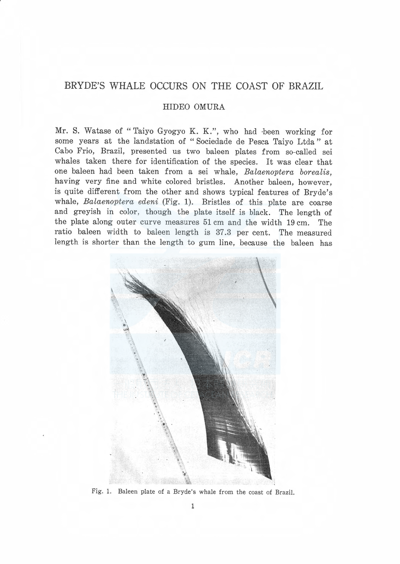# BRYDE'S WHALE OCCURS ON THE COAST OF BRAZIL

## HIDEO OMURA

Mr. S. Watase of "Taiyo Gyogyo K. K.", who had been working for some years at the landstation of "Sociedade de Pesca Taivo Ltda" at Cabo Frio, Brazil, presented us two baleen plates from so-called sei whales taken there for identification of the species. It was clear that one baleen had been taken from a sei whale, Balaenoptera borealis, having very fine and white colored bristles. Another baleen, however, is quite different from the other and shows typical features of Bryde'<sup>s</sup> whale, Balaenoptera edeni (Fig. 1). Bristles of this plate are coarse and greyish in color, though the plate itself is black. The length of the plate along outer curve measures 51 cm and the width 19 cm. The ratio baleen width to baleen length is 37.3 per cent. The measured length is shorter than the length to gum line, because the baleen has



Fig. l. Baleen plate of a Bryde's whale from the coast of Brazil.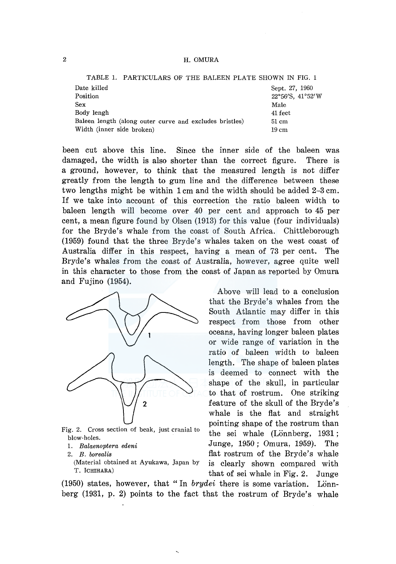## 2 H. OMURA

|                                                         |  |  |  |  | TABLE 1. PARTICULARS OF THE BALEEN PLATE SHOWN IN FIG. 1 |  |  |
|---------------------------------------------------------|--|--|--|--|----------------------------------------------------------|--|--|
| Date killed                                             |  |  |  |  | Sept. 27, 1960                                           |  |  |
| Position                                                |  |  |  |  | 22°56'S, 41°52'W                                         |  |  |
| <b>Sex</b>                                              |  |  |  |  | Male                                                     |  |  |
| Body lengh                                              |  |  |  |  | 41 feet                                                  |  |  |
| Baleen length (along outer curve and excludes bristles) |  |  |  |  | 51 cm                                                    |  |  |
| Width (inner side broken)                               |  |  |  |  | $19 \text{ cm}$                                          |  |  |
|                                                         |  |  |  |  |                                                          |  |  |

been cut above this line. Since the inner side of the baleen was damaged, the width is also shorter than the correct figure. There is a ground, however, to think that the measured length is not differ greatly from the length to gum line and the difference between these two lengths might be within 1 cm and the width should be added 2-3 cm. If we take into account of this correction the ratio baleen width to baleen length will become over 40 per cent and approach to 45 per cent, a mean figure found by Olsen (1913) for this value (four individuals) for the Bryde's whale from the coast of South Africa. Chittleborough (1959) found that the three Bryde's whales taken on the west coast of Australia differ in this respect, having a mean of 73 per cent. The Bryde's whales from the coast of Australia, however, agree quite well in this character to those from the coast of Japan as reported by Omura and Fujino (1954).



blow-holes.

Above will lead to a conclusion that the Bryde's whales from the South Atlantic may differ in this respect from those from other oceans, having longer baleen plates or wide range of variation in the ratio of baleen width to baleen length. The shape of baleen plates is deemed to connect with the shape of the skull, in particular to that of rostrum. One striking feature of the skull of the Bryde's whale is the flat and straight pointing shape of the rostrum than Fig. 2. Cross section of beak, just cranial to the sei whale (Lönnberg, 1931; 1. *Balaenoptera edeni* Junge, 1950; Omura, 1959). The 2. *B. borealis* **flat rostrum of the Bryde's whale**<br>(Material obtained at Ayukawa, Japan by is clearly shown compared with (Material obtained at Ayukawa, Japan by is clearly shown compared with that of sei whale in Fig. 2. Junge

(1950) states, however, that "In *brydei* there is some variation. Lonnberg (1931, p. 2) points to the fact that the rostrum of Bryde's whale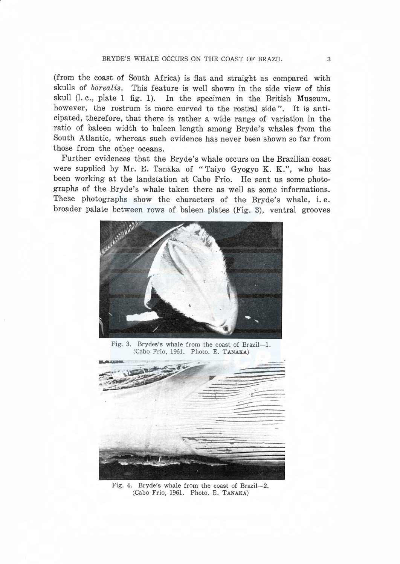#### BRYDE'S WHALE OCCURS ON THE COAST OF BRAZIL. 3

(from the coast of South Africa) is flat and straight as compared with skulls of borealis. This feature is well shown in the side view of this skull (1. c., plate 1 fig. 1). In the specimen in the British Museum, however, the rostrum is more curved to the rostral side". It is anticipated, therefore, that there is rather a wide range of variation in the ratio of baleen width to baleen length among Bryde's whales from the South Atlantic, whereas such evidence has never been shown so far from those from the other oceans.

Further evidences that the Bryde's whale occurs on the Brazilian coast were supplied by Mr. E. Tanaka of "Taiyo Gyogyo K. K.", who has been working at the landstation at Cabo Frio. He sent us some photographs of the Bryde's whale taken there as well as some informations. These photographs show the characters of the Bryde's whale, i.e. broader palate between rows of baleen plates (Fig. 3), ventral grooves



Fig. 3. Brydes's whale from the coast of Brazil-1. (Cabo Frio, 1961. Photo. E. TANAKA)



Fig. 4. Bryde's whale from the coast of Brazil-2. (Cabo Frio, 1961. Photo. E. TANAKA)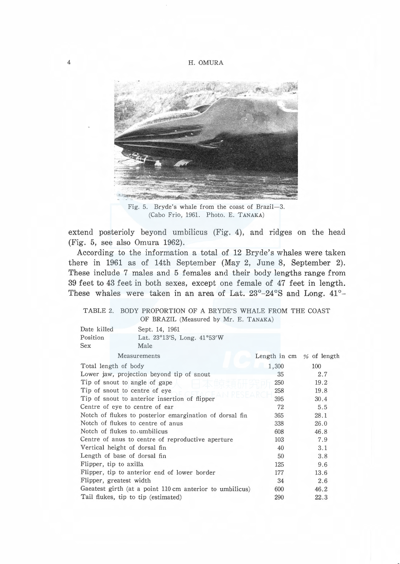4 H. OMURA



Fig. 5. Bryde's whale from the coast of Brazil-3. (Cabo Frio, 1961. Photo. E. TANAKA)

extend posterioly beyond umbilicus (Fig. 4), and ridges on the head (Fig. 5, see also Omura 1962).

According to the information a total of 12 Bryde's whales were taken there in 1961 as of 14th September (May 2, June 8, September 2). These include 7 males and 5 females and their body lengths range from 39 feet to 43 feet in both sexes, except one female of 47 feet in length. These whales were taken in an area of Lat. 23°-24°S and Long. 41°-

### TABLE 2. BODY PROPORTION OF A BRYDE'S WHALE FROM THE COAST OF BRAZIL (Measured by Mr. E. TANAKA)

| Date killed          | Sept. 14, 1961                                           |                                  |      |  |  |  |  |
|----------------------|----------------------------------------------------------|----------------------------------|------|--|--|--|--|
| Position             | Lat. 23°13'S, Long. 41°53'W                              |                                  |      |  |  |  |  |
| <b>Sex</b>           | Male                                                     |                                  |      |  |  |  |  |
|                      | Measurements                                             | Length in $cm \approx$ of length |      |  |  |  |  |
| Total length of body |                                                          | 1,300                            | 100  |  |  |  |  |
|                      | Lower jaw, projection beyond tip of snout                | 35                               | 2.7  |  |  |  |  |
|                      | Tip of snout to angle of gape                            | 250                              | 19.2 |  |  |  |  |
|                      | Tip of snout to centre of eye                            | 258                              | 19.8 |  |  |  |  |
|                      | Tip of snout to anterior insertion of flipper            | 395                              | 30.4 |  |  |  |  |
|                      | Centre of eye to centre of ear                           | 72                               | 5.5  |  |  |  |  |
|                      | Notch of flukes to posterior emargination of dorsal fin  | 365                              | 28.1 |  |  |  |  |
|                      | Notch of flukes to centre of anus                        | 338                              | 26.0 |  |  |  |  |
|                      | Notch of flukes to umbilicus                             | 608                              | 46.8 |  |  |  |  |
|                      | Centre of anus to centre of reproductive aperture        | 103                              | 7.9  |  |  |  |  |
|                      | Vertical height of dorsal fin                            | 40                               | 3.1  |  |  |  |  |
|                      | Length of base of dorsal fin                             | 50                               | 3.8  |  |  |  |  |
|                      | Flipper, tip to axilla                                   | 125                              | 9.6  |  |  |  |  |
|                      | Flipper, tip to anterior end of lower border             | 177                              | 13.6 |  |  |  |  |
|                      | Flipper, greatest width                                  | 34                               | 2.6  |  |  |  |  |
|                      | Gaeatest girth (at a point 110 cm anterior to umbilicus) | 600                              | 46.2 |  |  |  |  |
|                      | Tail flukes, tip to tip (estimated)                      | 290                              | 22.3 |  |  |  |  |